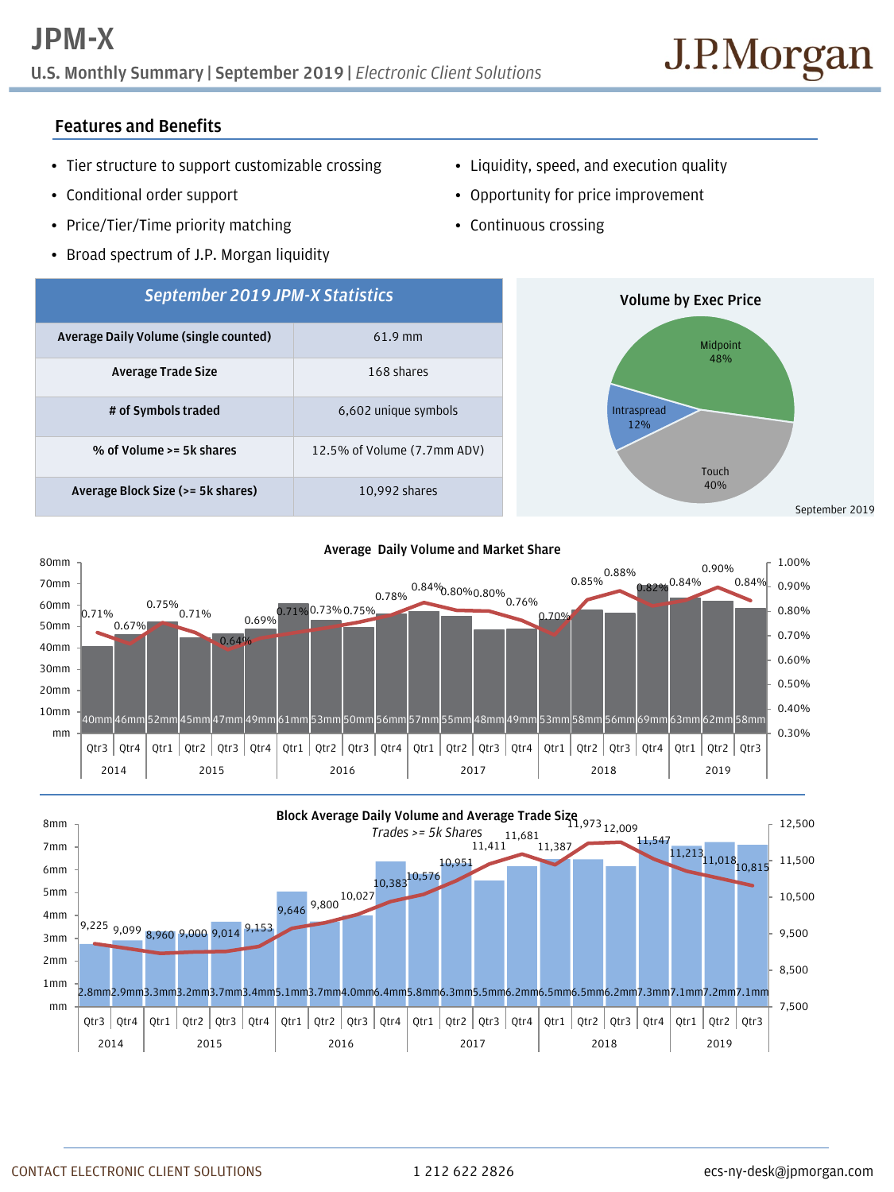**U.S. Monthly Summary | September 2019 |** *Electronic Client Solutions*

## **Features and Benefits**

- Tier structure to support customizable crossing
- Conditional order support
- Price/Tier/Time priority matching
- Broad spectrum of J.P. Morgan liquidity
- Liquidity, speed, and execution quality
- Opportunity for price improvement
- Continuous crossing